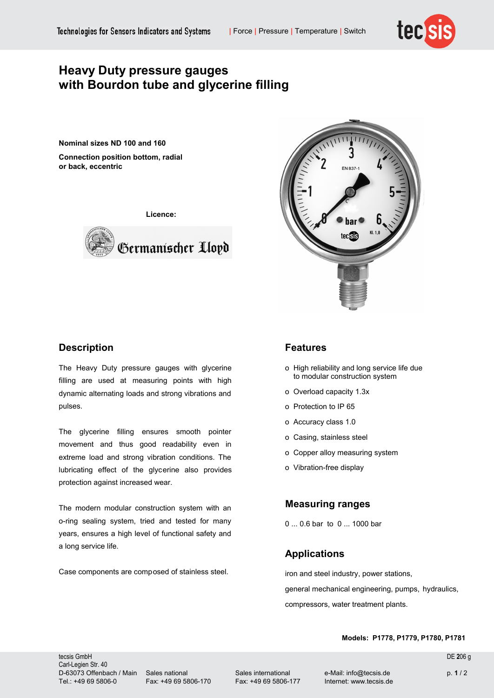

# **Heavy Duty pressure gauges with Bourdon tube and glycerine filling**

**Nominal sizes ND 100 and 160 Connection position bottom, radial or back, eccentric**

**Licence:**





## **Description**

The Heavy Duty pressure gauges with glycerine filling are used at measuring points with high dynamic alternating loads and strong vibrations and pulses.

The glycerine filling ensures smooth pointer movement and thus good readability even in extreme load and strong vibration conditions. The lubricating effect of the glycerine also provides protection against increased wear.

The modern modular construction system with an o-ring sealing system, tried and tested for many years, ensures a high level of functional safety and a long service life.

Case components are composed of stainless steel.

#### **Features**

- o High reliability and long service life due to modular construction system
- o Overload capacity 1.3x
- o Protection to IP 65
- o Accuracy class 1.0
- o Casing, stainless steel
- o Copper alloy measuring system
- o Vibration-free display

### **Measuring ranges**

0 ... 0.6 bar to 0 ... 1000 bar

### **Applications**

iron and steel industry, power stations, general mechanical engineering, pumps, hydraulics, compressors, water treatment plants.

#### **Models: P1778, P1779, P1780, P1781**

tecsis GmbH DE **2**06 g Carl-Legien Str. 40 D-63073 Offenbach / Main Sales national Sales international e-Mail: info@tecsis.de p. **1** / 2 Tel.: +49 69 5806-0 Fax: +49 69 5806-170 Fax: +49 69 5806-177 Internet: www.tecsis.de